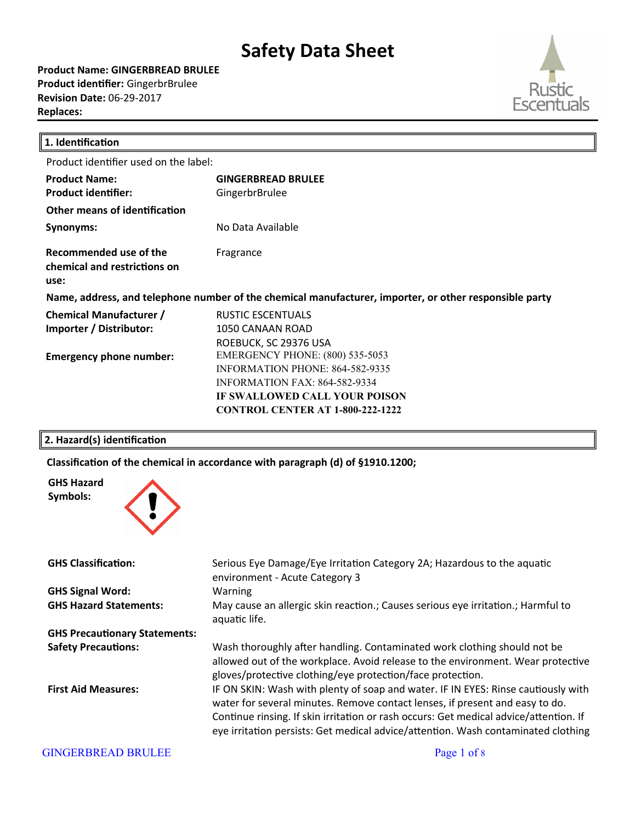**Product Name: GINGERBREAD BRULEE Product identifier:** GingerbrBrulee **Revision Date:** 06-29-2017 **Replaces:** 



| 1. Identification                                                                                      |                                         |  |
|--------------------------------------------------------------------------------------------------------|-----------------------------------------|--|
| Product identifier used on the label:                                                                  |                                         |  |
| <b>Product Name:</b>                                                                                   | <b>GINGERBREAD BRULEE</b>               |  |
| <b>Product identifier:</b>                                                                             | GingerbrBrulee                          |  |
| Other means of identification                                                                          |                                         |  |
| Synonyms:                                                                                              | No Data Available                       |  |
| Recommended use of the<br>chemical and restrictions on<br>use:                                         | Fragrance                               |  |
| Name, address, and telephone number of the chemical manufacturer, importer, or other responsible party |                                         |  |
| <b>Chemical Manufacturer /</b>                                                                         | RUSTIC ESCENTUALS                       |  |
| Importer / Distributor:                                                                                | 1050 CANAAN ROAD                        |  |
|                                                                                                        | ROEBUCK, SC 29376 USA                   |  |
| <b>Emergency phone number:</b>                                                                         | <b>EMERGENCY PHONE: (800) 535-5053</b>  |  |
|                                                                                                        | <b>INFORMATION PHONE: 864-582-9335</b>  |  |
|                                                                                                        | INFORMATION FAX: 864-582-9334           |  |
|                                                                                                        | IF SWALLOWED CALL YOUR POISON           |  |
|                                                                                                        | <b>CONTROL CENTER AT 1-800-222-1222</b> |  |
|                                                                                                        |                                         |  |

### **2. Hazard(s) identification**

Classification of the chemical in accordance with paragraph (d) of §1910.1200;



**GHS Signal Word:** Warning

**GHS Precautionary Statements:**

**GHS Classification:** Serious Eye Damage/Eye Irritaton Category 2A; Hazardous to the aquatc environment - Acute Category 3 **GHS Hazard Statements:** May cause an allergic skin reaction.; Causes serious eye irritation.; Harmful to aquatic life. **Safety Precautions:** Wash thoroughly after handling. Contaminated work clothing should not be allowed out of the workplace. Avoid release to the environment. Wear protective gloves/protective clothing/eye protection/face protection. First Aid Measures: **IF ON SKIN: Wash with plenty of soap and water. IF IN EYES: Rinse cautiously with** water for several minutes. Remove contact lenses, if present and easy to do.

> Continue rinsing. If skin irritation or rash occurs: Get medical advice/attention. If eye irritation persists: Get medical advice/attention. Wash contaminated clothing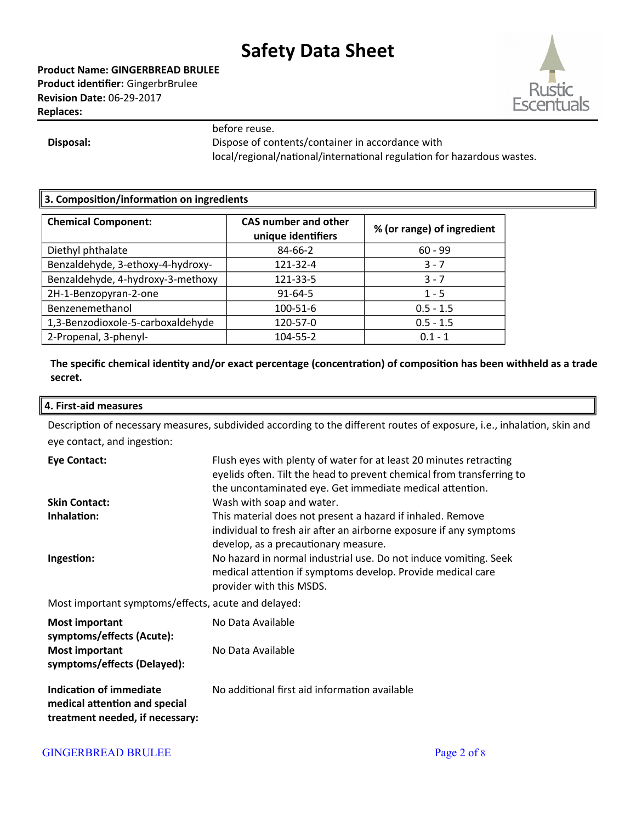**Product Name: GINGERBREAD BRULEE Product identifier:** GingerbrBrulee **Revision Date:** 06-29-2017 **Replaces:** 



before reuse.

**Disposal:** Dispose of contents/container in accordance with local/regional/national/international regulation for hazardous wastes.

## **3. Composition/information on ingredients**

| <b>Chemical Component:</b>        | <b>CAS number and other</b><br>unique identifiers | % (or range) of ingredient |
|-----------------------------------|---------------------------------------------------|----------------------------|
| Diethyl phthalate                 | 84-66-2                                           | $60 - 99$                  |
| Benzaldehyde, 3-ethoxy-4-hydroxy- | 121-32-4                                          | $3 - 7$                    |
| Benzaldehyde, 4-hydroxy-3-methoxy | 121-33-5                                          | $3 - 7$                    |
| 2H-1-Benzopyran-2-one             | $91 - 64 - 5$                                     | $1 - 5$                    |
| Benzenemethanol                   | $100 - 51 - 6$                                    | $0.5 - 1.5$                |
| 1,3-Benzodioxole-5-carboxaldehyde | 120-57-0                                          | $0.5 - 1.5$                |
| 2-Propenal, 3-phenyl-             | 104-55-2                                          | $0.1 - 1$                  |

**The specific chemical identity and/or exact percentage (concentration) of composition has been withheld as a trade secret.**

#### **4. First-aid measures**

Description of necessary measures, subdivided according to the different routes of exposure, i.e., inhalation, skin and eye contact, and ingestion:

| <b>Eye Contact:</b>                                  | Flush eyes with plenty of water for at least 20 minutes retracting<br>eyelids often. Tilt the head to prevent chemical from transferring to<br>the uncontaminated eye. Get immediate medical attention.                                      |
|------------------------------------------------------|----------------------------------------------------------------------------------------------------------------------------------------------------------------------------------------------------------------------------------------------|
| <b>Skin Contact:</b>                                 | Wash with soap and water.                                                                                                                                                                                                                    |
| Inhalation:<br>Ingestion:                            | This material does not present a hazard if inhaled. Remove<br>individual to fresh air after an airborne exposure if any symptoms<br>develop, as a precautionary measure.<br>No hazard in normal industrial use. Do not induce vomiting. Seek |
|                                                      | medical attention if symptoms develop. Provide medical care<br>provider with this MSDS.                                                                                                                                                      |
| Most important symptoms/effects, acute and delayed:  |                                                                                                                                                                                                                                              |
| <b>Most important</b><br>symptoms/effects (Acute):   | No Data Available                                                                                                                                                                                                                            |
| <b>Most important</b><br>symptoms/effects (Delayed): | No Data Available                                                                                                                                                                                                                            |
| Indication of immediate                              | No additional first aid information available                                                                                                                                                                                                |

**Indication of immediate medical atention and special treatment needed, if necessary:** No additonal irst aid informaton available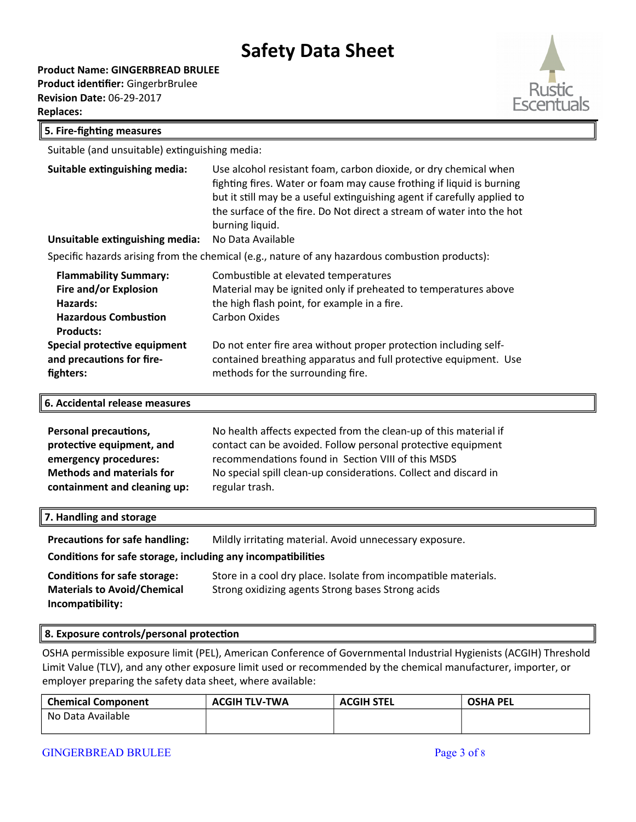**Product Name: GINGERBREAD BRULEE**

**Product identifier:** GingerbrBrulee **Revision Date:** 06-29-2017 **Replaces:** 



#### **5. Fire-fighting measures**

Suitable (and unsuitable) extinguishing media:

| Suitable extinguishing media:                                                                                        | Use alcohol resistant foam, carbon dioxide, or dry chemical when<br>fighting fires. Water or foam may cause frothing if liquid is burning<br>but it still may be a useful extinguishing agent if carefully applied to<br>the surface of the fire. Do Not direct a stream of water into the hot<br>burning liquid. |  |
|----------------------------------------------------------------------------------------------------------------------|-------------------------------------------------------------------------------------------------------------------------------------------------------------------------------------------------------------------------------------------------------------------------------------------------------------------|--|
| Unsuitable extinguishing media:                                                                                      | No Data Available                                                                                                                                                                                                                                                                                                 |  |
| Specific hazards arising from the chemical (e.g., nature of any hazardous combustion products):                      |                                                                                                                                                                                                                                                                                                                   |  |
| <b>Flammability Summary:</b><br>Fire and/or Explosion<br>Hazards:<br><b>Hazardous Combustion</b><br><b>Products:</b> | Combustible at elevated temperatures<br>Material may be ignited only if preheated to temperatures above<br>the high flash point, for example in a fire.<br>Carbon Oxides                                                                                                                                          |  |
| Special protective equipment<br>and precautions for fire-<br>fighters:                                               | Do not enter fire area without proper protection including self-<br>contained breathing apparatus and full protective equipment. Use<br>methods for the surrounding fire.                                                                                                                                         |  |

**6. Accidental release measures**

| <b>Personal precautions,</b>     | No health affects expected from the clean-up of this material if |
|----------------------------------|------------------------------------------------------------------|
| protective equipment, and        | contact can be avoided. Follow personal protective equipment     |
| emergency procedures:            | recommendations found in Section VIII of this MSDS               |
| <b>Methods and materials for</b> | No special spill clean-up considerations. Collect and discard in |
| containment and cleaning up:     | regular trash.                                                   |

| 7. Handling and storage                                      |                                                               |
|--------------------------------------------------------------|---------------------------------------------------------------|
| <b>Precautions for safe handling:</b>                        | Mildly irritating material. Avoid unnecessary exposure.       |
| Conditions for safe storage, including any incompatibilities |                                                               |
| Conditions for safe storage:                                 | Store in a cool druplace, Isolate from incompatible materials |

| Conditions for safe storage:       | Store in a cool dry place. Isolate from incompatible materials. |
|------------------------------------|-----------------------------------------------------------------|
| <b>Materials to Avoid/Chemical</b> | Strong oxidizing agents Strong bases Strong acids               |
| Incompatibility:                   |                                                                 |

#### **8. Exposure controls/personal protection**

OSHA permissible exposure limit (PEL), American Conference of Governmental Industrial Hygienists (ACGIH) Threshold Limit Value (TLV), and any other exposure limit used or recommended by the chemical manufacturer, importer, or employer preparing the safety data sheet, where available:

| <b>Chemical Component</b> | <b>ACGIH TLV-TWA</b> | <b>ACGIH STEL</b> | <b>OSHA PEL</b> |
|---------------------------|----------------------|-------------------|-----------------|
| No Data Available         |                      |                   |                 |
|                           |                      |                   |                 |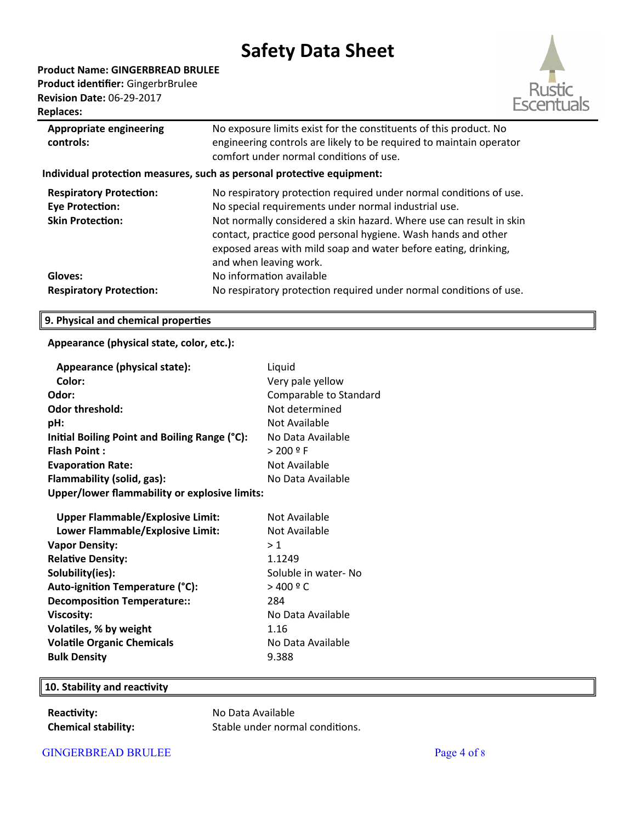**Product Name: GINGERBREAD BRULEE Product identifier:** GingerbrBrulee **Revision Date:** 06-29-2017 **Replaces:** 



| <b>Appropriate engineering</b><br>controls:                                         | No exposure limits exist for the constituents of this product. No<br>engineering controls are likely to be required to maintain operator<br>comfort under normal conditions of use.                                                                                                                                                                             |  |
|-------------------------------------------------------------------------------------|-----------------------------------------------------------------------------------------------------------------------------------------------------------------------------------------------------------------------------------------------------------------------------------------------------------------------------------------------------------------|--|
| Individual protection measures, such as personal protective equipment:              |                                                                                                                                                                                                                                                                                                                                                                 |  |
| <b>Respiratory Protection:</b><br><b>Eye Protection:</b><br><b>Skin Protection:</b> | No respiratory protection required under normal conditions of use.<br>No special requirements under normal industrial use.<br>Not normally considered a skin hazard. Where use can result in skin<br>contact, practice good personal hygiene. Wash hands and other<br>exposed areas with mild soap and water before eating, drinking,<br>and when leaving work. |  |
| Gloves:<br><b>Respiratory Protection:</b>                                           | No information available<br>No respiratory protection required under normal conditions of use.                                                                                                                                                                                                                                                                  |  |

### **9. Physical and chemical properties**

### **Appearance (physical state, color, etc.):**

| Appearance (physical state):                  | Liquid                 |
|-----------------------------------------------|------------------------|
| Color:                                        | Very pale yellow       |
| Odor:                                         | Comparable to Standard |
| Odor threshold:                               | Not determined         |
| pH:                                           | Not Available          |
| Initial Boiling Point and Boiling Range (°C): | No Data Available      |
| <b>Flash Point:</b>                           | > 200 º F              |
| <b>Evaporation Rate:</b>                      | Not Available          |
| Flammability (solid, gas):                    | No Data Available      |
| Upper/lower flammability or explosive limits: |                        |
| <b>Upper Flammable/Explosive Limit:</b>       | Not Available          |
| Lower Flammable/Explosive Limit:              | Not Available          |
| <b>Vapor Density:</b>                         | >1                     |
| <b>Relative Density:</b>                      | 1.1249                 |
| Solubility(ies):                              | Soluble in water- No   |
| Auto-ignition Temperature (°C):               | $>$ 400 $9$ C          |
| <b>Decomposition Temperature::</b>            | 284                    |
| <b>Viscosity:</b>                             | No Data Available      |
| Volatiles, % by weight                        | 1.16                   |
| <b>Volatile Organic Chemicals</b>             | No Data Available      |
| <b>Bulk Density</b>                           | 9.388                  |

## **10. Stability and reactivity**

**Reactivity:** No Data Available

**Chemical stability:** Stable under normal conditions.

GINGERBREAD BRULEE Page 4 of 8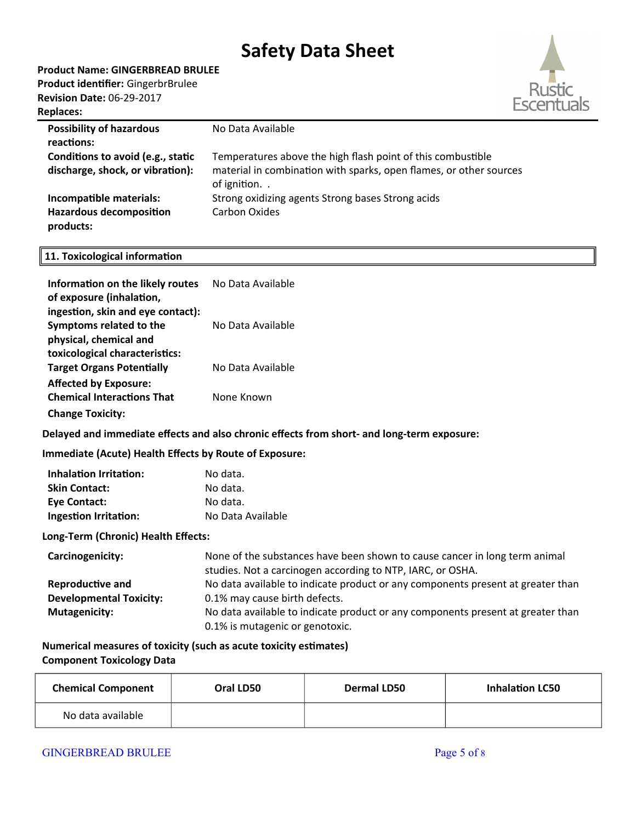**Product Name: GINGERBREAD BRULEE**

**Product identifier:** GingerbrBrulee **Revision Date:** 06-29-2017 **Replaces:** 



| <b>Possibility of hazardous</b>             | No Data Available                                                                 |
|---------------------------------------------|-----------------------------------------------------------------------------------|
| reactions:                                  |                                                                                   |
| Conditions to avoid (e.g., static           | Temperatures above the high flash point of this combustible                       |
| discharge, shock, or vibration):            | material in combination with sparks, open flames, or other sources<br>of ignition |
| Incompatible materials:                     | Strong oxidizing agents Strong bases Strong acids                                 |
| <b>Hazardous decomposition</b><br>products: | Carbon Oxides                                                                     |
|                                             |                                                                                   |

## **11. Toxicological information**

| Information on the likely routes  | No Data Available |
|-----------------------------------|-------------------|
| of exposure (inhalation,          |                   |
| ingestion, skin and eye contact): |                   |
| Symptoms related to the           | No Data Available |
| physical, chemical and            |                   |
| toxicological characteristics:    |                   |
| <b>Target Organs Potentially</b>  | No Data Available |
| <b>Affected by Exposure:</b>      |                   |
| <b>Chemical Interactions That</b> | None Known        |
| <b>Change Toxicity:</b>           |                   |

#### **Delayed and immediate effects and also chronic effects from short- and long-term exposure:**

## **Immediate (Acute) Health Effects by Route of Exposure:**

| <b>Inhalation Irritation:</b> | No data.          |
|-------------------------------|-------------------|
| <b>Skin Contact:</b>          | No data.          |
| <b>Eye Contact:</b>           | No data.          |
| <b>Ingestion Irritation:</b>  | No Data Available |

#### **Long-Term (Chronic) Health Effects:**

| Carcinogenicity:               | None of the substances have been shown to cause cancer in long term animal<br>studies. Not a carcinogen according to NTP, IARC, or OSHA. |
|--------------------------------|------------------------------------------------------------------------------------------------------------------------------------------|
| <b>Reproductive and</b>        | No data available to indicate product or any components present at greater than                                                          |
| <b>Developmental Toxicity:</b> | 0.1% may cause birth defects.                                                                                                            |
| <b>Mutagenicity:</b>           | No data available to indicate product or any components present at greater than                                                          |
|                                | 0.1% is mutagenic or genotoxic.                                                                                                          |

## **Numerical measures of toxicity (such as acute toxicity estimates) Component Toxicology Data**

| <b>Chemical Component</b> | Oral LD50 | <b>Dermal LD50</b> | <b>Inhalation LC50</b> |
|---------------------------|-----------|--------------------|------------------------|
| No data available         |           |                    |                        |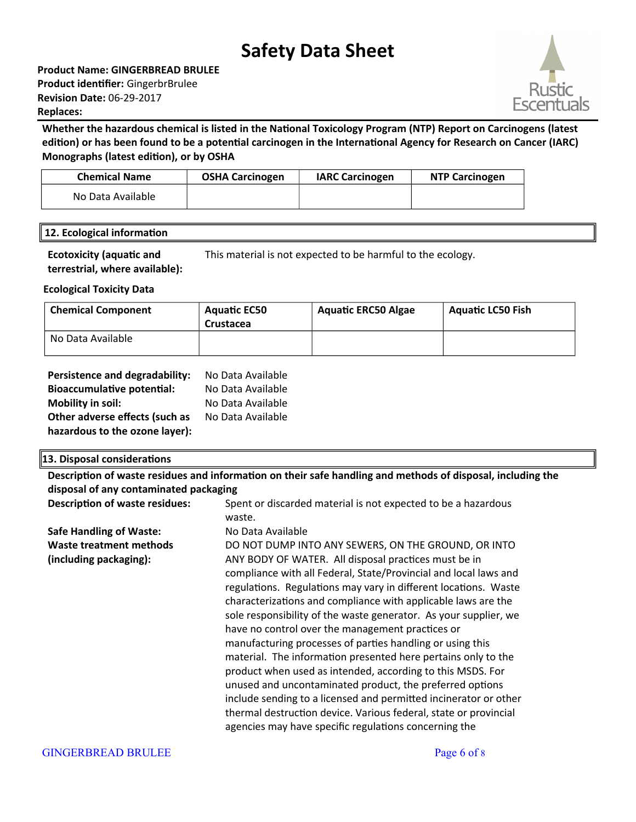**Product Name: GINGERBREAD BRULEE Product identifier:** GingerbrBrulee **Revision Date:** 06-29-2017 **Replaces:** 

## **Whether the hazardous chemical is listed in the National Toxicology Program (NTP) Report on Carcinogens (latest edition) or has been found to be a potential carcinogen in the International Agency for Research on Cancer (IARC) Monographs (latest edition), or by OSHA**

| <b>Chemical Name</b> | <b>OSHA Carcinogen</b> | <b>IARC Carcinogen</b> | <b>NTP Carcinogen</b> |
|----------------------|------------------------|------------------------|-----------------------|
| No Data Available    |                        |                        |                       |

## **12. Ecological information**

**Ecotoxicity (aquatic and terrestrial, where available):** This material is not expected to be harmful to the ecology.

## **Ecological Toxicity Data**

| <b>Chemical Component</b> | <b>Aquatic EC50</b><br>Crustacea | <b>Aquatic ERC50 Algae</b> | <b>Aquatic LC50 Fish</b> |
|---------------------------|----------------------------------|----------------------------|--------------------------|
| No Data Available         |                                  |                            |                          |

| Persistence and degradability:    | No Data Available |
|-----------------------------------|-------------------|
| <b>Bioaccumulative potential:</b> | No Data Available |
| <b>Mobility in soil:</b>          | No Data Available |
| Other adverse effects (such as    | No Data Available |
| hazardous to the ozone layer):    |                   |

#### **13. Disposal considerations**

**Description of waste residues and information on their safe handling and methods of disposal, including the disposal of any contaminated packaging Description of waste residues:** Spent or discarded material is not expected to be a hazardous waste. **Safe Handling of Waste:** No Data Available

**Waste treatment methods (including packaging):**  DO NOT DUMP INTO ANY SEWERS, ON THE GROUND, OR INTO ANY BODY OF WATER. All disposal practices must be in compliance with all Federal, State/Provincial and local laws and regulations. Regulations may vary in different locations. Waste characterizatons and compliance with applicable laws are the sole responsibility of the waste generator. As your supplier, we have no control over the management practices or manufacturing processes of parties handling or using this material. The information presented here pertains only to the product when used as intended, according to this MSDS. For unused and uncontaminated product, the preferred options include sending to a licensed and permitted incinerator or other thermal destruction device. Various federal, state or provincial agencies may have specific regulations concerning the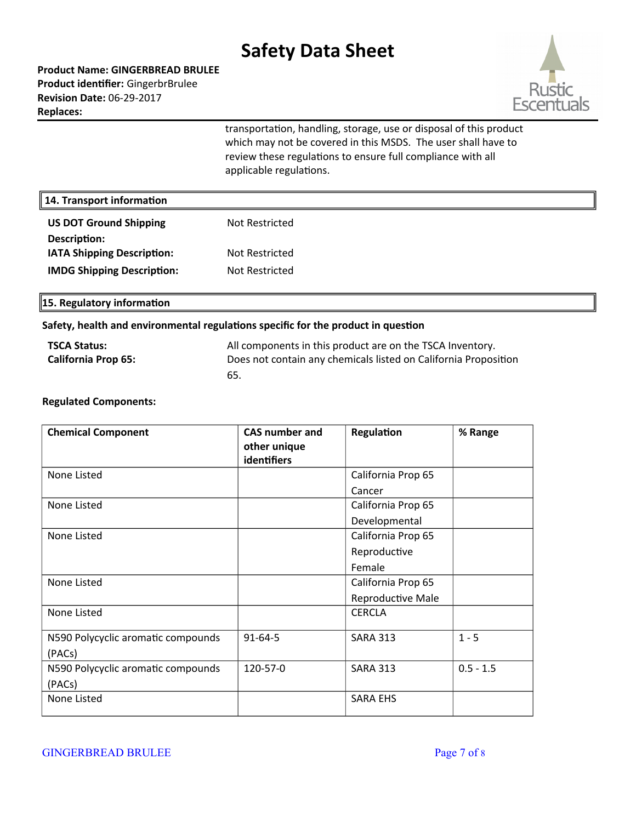**Product Name: GINGERBREAD BRULEE Product identifier:** GingerbrBrulee **Revision Date:** 06-29-2017 **Replaces:** 



transportation, handling, storage, use or disposal of this product which may not be covered in this MSDS. The user shall have to review these regulations to ensure full compliance with all applicable regulations.

| 14. Transport information         |                |  |
|-----------------------------------|----------------|--|
| <b>US DOT Ground Shipping</b>     | Not Restricted |  |
| Description:                      |                |  |
| <b>IATA Shipping Description:</b> | Not Restricted |  |
| <b>IMDG Shipping Description:</b> | Not Restricted |  |
|                                   |                |  |

**15. Regulatory information**

#### **Safety, health and environmental regulations specific for the product in question**

| <b>TSCA Status:</b>        | All components in this product are on the TSCA Inventory.       |
|----------------------------|-----------------------------------------------------------------|
| <b>California Prop 65:</b> | Does not contain any chemicals listed on California Proposition |
|                            | 65.                                                             |

#### **Regulated Components:**

| <b>Chemical Component</b>          | <b>CAS number and</b> | Regulation         | % Range     |
|------------------------------------|-----------------------|--------------------|-------------|
|                                    | other unique          |                    |             |
|                                    | identifiers           |                    |             |
| None Listed                        |                       | California Prop 65 |             |
|                                    |                       | Cancer             |             |
| None Listed                        |                       | California Prop 65 |             |
|                                    |                       | Developmental      |             |
| None Listed                        |                       | California Prop 65 |             |
|                                    |                       | Reproductive       |             |
|                                    |                       | Female             |             |
| None Listed                        |                       | California Prop 65 |             |
|                                    |                       | Reproductive Male  |             |
| None Listed                        |                       | <b>CERCLA</b>      |             |
| N590 Polycyclic aromatic compounds | $91 - 64 - 5$         | <b>SARA 313</b>    | $1 - 5$     |
| (PACs)                             |                       |                    |             |
| N590 Polycyclic aromatic compounds | 120-57-0              | <b>SARA 313</b>    | $0.5 - 1.5$ |
| (PACs)                             |                       |                    |             |
| None Listed                        |                       | <b>SARA EHS</b>    |             |